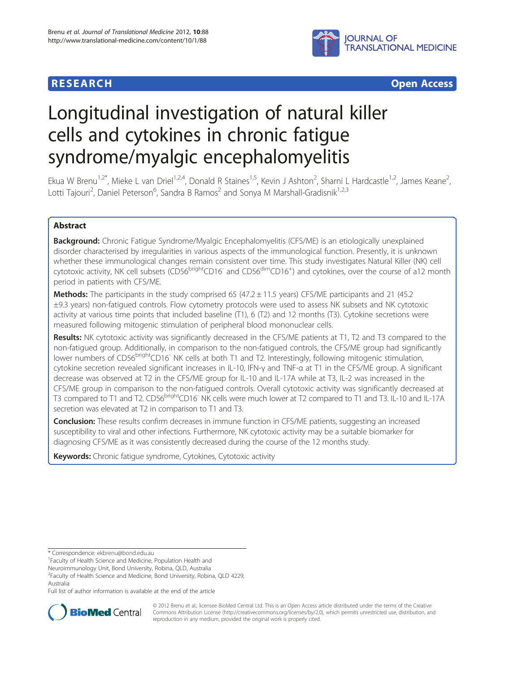

**RESEARCH CHEAR CHEAR CHEAR CHEAR CHEAR CHEAR CHEAR CHEAR CHEAR CHEAR CHEAR CHEAR CHEAR CHEAR CHEAR CHEAR CHEAR** 

# Longitudinal investigation of natural killer cells and cytokines in chronic fatigue syndrome/myalgic encephalomyelitis

Ekua W Brenu<sup>1,2\*</sup>, Mieke L van Driel<sup>1,2,4</sup>, Donald R Staines<sup>1,5</sup>, Kevin J Ashton<sup>2</sup>, Sharni L Hardcastle<sup>1,2</sup>, James Keane<sup>2</sup> , Lotti Tajouri<sup>2</sup>, Daniel Peterson<sup>6</sup>, Sandra B Ramos<sup>2</sup> and Sonya M Marshall-Gradisnik<sup>1,2,3</sup>

## Abstract

Background: Chronic Fatigue Syndrome/Myalgic Encephalomyelitis (CFS/ME) is an etiologically unexplained disorder characterised by irregularities in various aspects of the immunological function. Presently, it is unknown whether these immunological changes remain consistent over time. This study investigates Natural Killer (NK) cell cytotoxic activity, NK cell subsets (CD56<sup>bright</sup>CD16<sup>-</sup> and CD56<sup>dim</sup>CD16<sup>+</sup>) and cytokines, over the course of a12 month period in patients with CFS/ME.

**Methods:** The participants in the study comprised 65 (47.2  $\pm$  11.5 years) CFS/ME participants and 21 (45.2) ±9.3 years) non-fatigued controls. Flow cytometry protocols were used to assess NK subsets and NK cytotoxic activity at various time points that included baseline (T1), 6 (T2) and 12 months (T3). Cytokine secretions were measured following mitogenic stimulation of peripheral blood mononuclear cells.

Results: NK cytotoxic activity was significantly decreased in the CFS/ME patients at T1, T2 and T3 compared to the non-fatigued group. Additionally, in comparison to the non-fatigued controls, the CFS/ME group had significantly lower numbers of CD56<sup>bright</sup>CD16<sup>-</sup> NK cells at both T1 and T2. Interestingly, following mitogenic stimulation, cytokine secretion revealed significant increases in IL-10, IFN-γ and TNF-α at T1 in the CFS/ME group. A significant decrease was observed at T2 in the CFS/ME group for IL-10 and IL-17A while at T3, IL-2 was increased in the CFS/ME group in comparison to the non-fatigued controls. Overall cytotoxic activity was significantly decreased at T3 compared to T1 and T2. CD56<sup>bright</sup>CD16<sup>-</sup> NK cells were much lower at T2 compared to T1 and T3. IL-10 and IL-17A secretion was elevated at T2 in comparison to T1 and T3.

**Conclusion:** These results confirm decreases in immune function in CFS/ME patients, suggesting an increased susceptibility to viral and other infections. Furthermore, NK cytotoxic activity may be a suitable biomarker for diagnosing CFS/ME as it was consistently decreased during the course of the 12 months study.

Keywords: Chronic fatique syndrome, Cytokines, Cytotoxic activity

Full list of author information is available at the end of the article



© 2012 Brenu et al.; licensee BioMed Central Ltd. This is an Open Access article distributed under the terms of the Creative Commons Attribution License [\(http://creativecommons.org/licenses/by/2.0\)](http://creativecommons.org/licenses/by/2.0), which permits unrestricted use, distribution, and reproduction in any medium, provided the original work is properly cited.

<sup>\*</sup> Correspondence: [ekbrenu@bond.edu.au](mailto:ekbrenu@bond.edu.au) <sup>1</sup>

<sup>&</sup>lt;sup>1</sup> Faculty of Health Science and Medicine, Population Health and

Neuroimmunology Unit, Bond University, Robina, QLD, Australia

<sup>2</sup> Faculty of Health Science and Medicine, Bond University, Robina, QLD 4229, Australia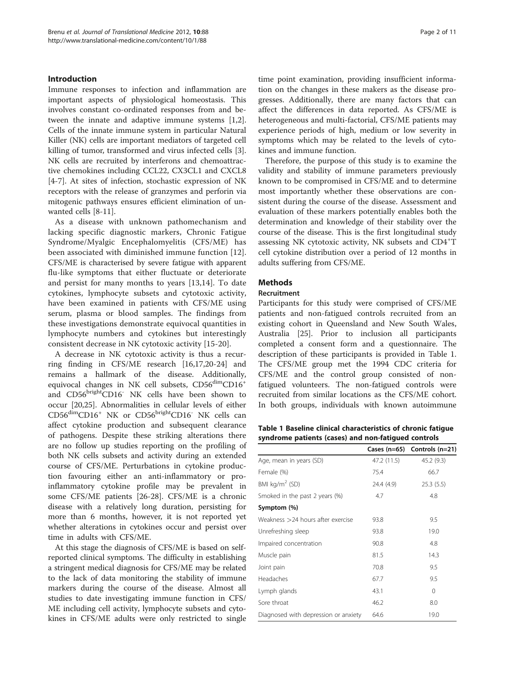## <span id="page-1-0"></span>Introduction

Immune responses to infection and inflammation are important aspects of physiological homeostasis. This involves constant co-ordinated responses from and between the innate and adaptive immune systems [\[1,2](#page-9-0)]. Cells of the innate immune system in particular Natural Killer (NK) cells are important mediators of targeted cell killing of tumor, transformed and virus infected cells [\[3](#page-9-0)]. NK cells are recruited by interferons and chemoattractive chemokines including CCL22, CX3CL1 and CXCL8 [[4-7](#page-9-0)]. At sites of infection, stochastic expression of NK receptors with the release of granzymes and perforin via mitogenic pathways ensures efficient elimination of unwanted cells [[8-11](#page-9-0)].

As a disease with unknown pathomechanism and lacking specific diagnostic markers, Chronic Fatigue Syndrome/Myalgic Encephalomyelitis (CFS/ME) has been associated with diminished immune function [[12](#page-9-0)]. CFS/ME is characterised by severe fatigue with apparent flu-like symptoms that either fluctuate or deteriorate and persist for many months to years [[13,14\]](#page-9-0). To date cytokines, lymphocyte subsets and cytotoxic activity, have been examined in patients with CFS/ME using serum, plasma or blood samples. The findings from these investigations demonstrate equivocal quantities in lymphocyte numbers and cytokines but interestingly consistent decrease in NK cytotoxic activity [[15-20](#page-9-0)].

A decrease in NK cytotoxic activity is thus a recurring finding in CFS/ME research [\[16,17,20-24](#page-9-0)] and remains a hallmark of the disease. Additionally, equivocal changes in NK cell subsets,  $CD56<sup>dim</sup>CD16<sup>+</sup>$ and CD56<sup>bright</sup>CD16<sup>-</sup> NK cells have been shown to occur [\[20,25](#page-9-0)]. Abnormalities in cellular levels of either CD56<sup>dim</sup>CD16<sup>+</sup> NK or CD56<sup>bright</sup>CD16<sup>-</sup> NK cells can affect cytokine production and subsequent clearance of pathogens. Despite these striking alterations there are no follow up studies reporting on the profiling of both NK cells subsets and activity during an extended course of CFS/ME. Perturbations in cytokine production favouring either an anti-inflammatory or proinflammatory cytokine profile may be prevalent in some CFS/ME patients [\[26](#page-9-0)-[28\]](#page-9-0). CFS/ME is a chronic disease with a relatively long duration, persisting for more than 6 months, however, it is not reported yet whether alterations in cytokines occur and persist over time in adults with CFS/ME.

At this stage the diagnosis of CFS/ME is based on selfreported clinical symptoms. The difficulty in establishing a stringent medical diagnosis for CFS/ME may be related to the lack of data monitoring the stability of immune markers during the course of the disease. Almost all studies to date investigating immune function in CFS/ ME including cell activity, lymphocyte subsets and cytokines in CFS/ME adults were only restricted to single time point examination, providing insufficient information on the changes in these makers as the disease progresses. Additionally, there are many factors that can affect the differences in data reported. As CFS/ME is heterogeneous and multi-factorial, CFS/ME patients may experience periods of high, medium or low severity in symptoms which may be related to the levels of cytokines and immune function.

Therefore, the purpose of this study is to examine the validity and stability of immune parameters previously known to be compromised in CFS/ME and to determine most importantly whether these observations are consistent during the course of the disease. Assessment and evaluation of these markers potentially enables both the determination and knowledge of their stability over the course of the disease. This is the first longitudinal study assessing NK cytotoxic activity, NK subsets and CD4<sup>+</sup>T cell cytokine distribution over a period of 12 months in adults suffering from CFS/ME.

## Methods

## Recruitment

Participants for this study were comprised of CFS/ME patients and non-fatigued controls recruited from an existing cohort in Queensland and New South Wales, Australia [[25\]](#page-9-0). Prior to inclusion all participants completed a consent form and a questionnaire. The description of these participants is provided in Table 1. The CFS/ME group met the 1994 CDC criteria for CFS/ME and the control group consisted of nonfatigued volunteers. The non-fatigued controls were recruited from similar locations as the CFS/ME cohort. In both groups, individuals with known autoimmune

Table 1 Baseline clinical characteristics of chronic fatigue syndrome patients (cases) and non-fatigued controls

|                                      |             | Cases $(n=65)$ Controls $(n=21)$ |
|--------------------------------------|-------------|----------------------------------|
| Age, mean in years (SD)              | 47.2 (11.5) | 45.2 (9.3)                       |
| Female (%)                           | 75.4        | 66.7                             |
| BMI $kg/m2$ (SD)                     | 24.4 (4.9)  | 25.3(5.5)                        |
| Smoked in the past 2 years (%)       | 4.7         | 4.8                              |
| Symptom (%)                          |             |                                  |
| Weakness $>$ 24 hours after exercise | 93.8        | 9.5                              |
| Unrefreshing sleep                   | 93.8        | 19.0                             |
| Impaired concentration               | 90.8        | 4.8                              |
| Muscle pain                          | 81.5        | 14.3                             |
| Joint pain                           | 70.8        | 9.5                              |
| Headaches                            | 67.7        | 9.5                              |
| Lymph glands                         | 43.1        | $\Omega$                         |
| Sore throat                          | 46.2        | 8.0                              |
| Diagnosed with depression or anxiety | 64.6        | 19.0                             |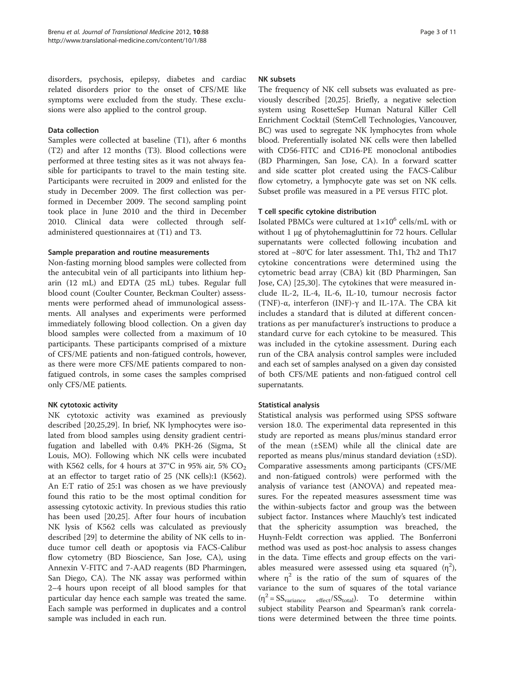disorders, psychosis, epilepsy, diabetes and cardiac related disorders prior to the onset of CFS/ME like symptoms were excluded from the study. These exclusions were also applied to the control group.

## Data collection

Samples were collected at baseline (T1), after 6 months (T2) and after 12 months (T3). Blood collections were performed at three testing sites as it was not always feasible for participants to travel to the main testing site. Participants were recruited in 2009 and enlisted for the study in December 2009. The first collection was performed in December 2009. The second sampling point took place in June 2010 and the third in December 2010. Clinical data were collected through selfadministered questionnaires at (T1) and T3.

## Sample preparation and routine measurements

Non-fasting morning blood samples were collected from the antecubital vein of all participants into lithium heparin (12 mL) and EDTA (25 mL) tubes. Regular full blood count (Coulter Counter, Beckman Coulter) assessments were performed ahead of immunological assessments. All analyses and experiments were performed immediately following blood collection. On a given day blood samples were collected from a maximum of 10 participants. These participants comprised of a mixture of CFS/ME patients and non-fatigued controls, however, as there were more CFS/ME patients compared to nonfatigued controls, in some cases the samples comprised only CFS/ME patients.

## NK cytotoxic activity

NK cytotoxic activity was examined as previously described [\[20,25,29\]](#page-9-0). In brief, NK lymphocytes were isolated from blood samples using density gradient centrifugation and labelled with 0.4% PKH-26 (Sigma, St Louis, MO). Following which NK cells were incubated with K562 cells, for 4 hours at 37°C in 95% air, 5%  $CO<sub>2</sub>$ at an effector to target ratio of 25 (NK cells):1 (K562). An E:T ratio of 25:1 was chosen as we have previously found this ratio to be the most optimal condition for assessing cytotoxic activity. In previous studies this ratio has been used [\[20,25](#page-9-0)]. After four hours of incubation NK lysis of K562 cells was calculated as previously described [[29\]](#page-9-0) to determine the ability of NK cells to induce tumor cell death or apoptosis via FACS-Calibur flow cytometry (BD Bioscience, San Jose, CA), using Annexin V-FITC and 7-AAD reagents (BD Pharmingen, San Diego, CA). The NK assay was performed within 2–4 hours upon receipt of all blood samples for that particular day hence each sample was treated the same. Each sample was performed in duplicates and a control sample was included in each run.

## NK subsets

The frequency of NK cell subsets was evaluated as previously described [\[20,25](#page-9-0)]. Briefly, a negative selection system using RosetteSep Human Natural Killer Cell Enrichment Cocktail (StemCell Technologies, Vancouver, BC) was used to segregate NK lymphocytes from whole blood. Preferentially isolated NK cells were then labelled with CD56-FITC and CD16-PE monoclonal antibodies (BD Pharmingen, San Jose, CA). In a forward scatter and side scatter plot created using the FACS-Calibur flow cytometry, a lymphocyte gate was set on NK cells. Subset profile was measured in a PE versus FITC plot.

## T cell specific cytokine distribution

Isolated PBMCs were cultured at  $1\times10^6$  cells/mL with or without 1 μg of phytohemagluttinin for 72 hours. Cellular supernatants were collected following incubation and stored at −80°C for later assessment. Th1, Th2 and Th17 cytokine concentrations were determined using the cytometric bead array (CBA) kit (BD Pharmingen, San Jose, CA) [[25,30](#page-9-0)]. The cytokines that were measured include IL-2, IL-4, IL-6, IL-10, tumour necrosis factor (TNF)-α, interferon (INF)-γ and IL-17A. The CBA kit includes a standard that is diluted at different concentrations as per manufacturer's instructions to produce a standard curve for each cytokine to be measured. This was included in the cytokine assessment. During each run of the CBA analysis control samples were included and each set of samples analysed on a given day consisted of both CFS/ME patients and non-fatigued control cell supernatants.

## Statistical analysis

Statistical analysis was performed using SPSS software version 18.0. The experimental data represented in this study are reported as means plus/minus standard error of the mean (±SEM) while all the clinical date are reported as means plus/minus standard deviation (±SD). Comparative assessments among participants (CFS/ME and non-fatigued controls) were performed with the analysis of variance test (ANOVA) and repeated measures. For the repeated measures assessment time was the within-subjects factor and group was the between subject factor. Instances where Mauchly's test indicated that the sphericity assumption was breached, the Huynh-Feldt correction was applied. The Bonferroni method was used as post-hoc analysis to assess changes in the data. Time effects and group effects on the variables measured were assessed using eta squared  $(\eta^2)$ , where  $\eta^2$  is the ratio of the sum of squares of the variance to the sum of squares of the total variance  $(\eta^2 = SS_{variance} - effect/SS_{total})$ . To determine within subject stability Pearson and Spearman's rank correlations were determined between the three time points.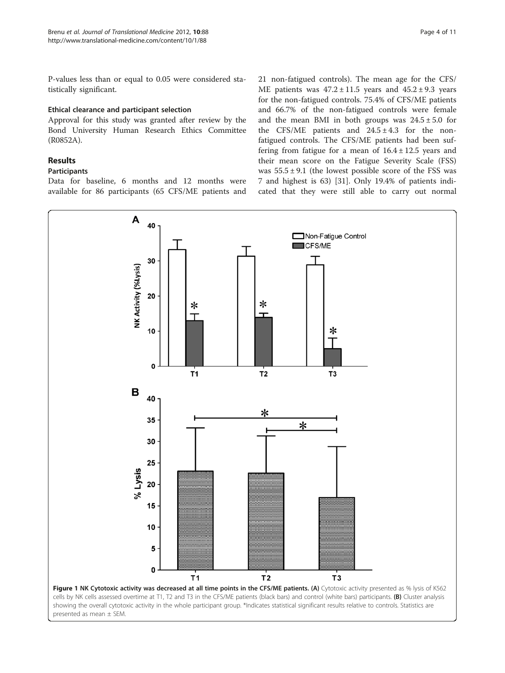<span id="page-3-0"></span>P-values less than or equal to 0.05 were considered statistically significant.

## Ethical clearance and participant selection

Approval for this study was granted after review by the Bond University Human Research Ethics Committee (R0852A).

## Results

## Participants

Data for baseline, 6 months and 12 months were available for 86 participants (65 CFS/ME patients and 21 non-fatigued controls). The mean age for the CFS/ ME patients was  $47.2 \pm 11.5$  years and  $45.2 \pm 9.3$  years for the non-fatigued controls. 75.4% of CFS/ME patients and 66.7% of the non-fatigued controls were female and the mean BMI in both groups was  $24.5 \pm 5.0$  for the CFS/ME patients and  $24.5 \pm 4.3$  for the nonfatigued controls. The CFS/ME patients had been suffering from fatigue for a mean of  $16.4 \pm 12.5$  years and their mean score on the Fatigue Severity Scale (FSS) was  $55.5 \pm 9.1$  (the lowest possible score of the FSS was 7 and highest is 63) [\[31](#page-9-0)]. Only 19.4% of patients indicated that they were still able to carry out normal

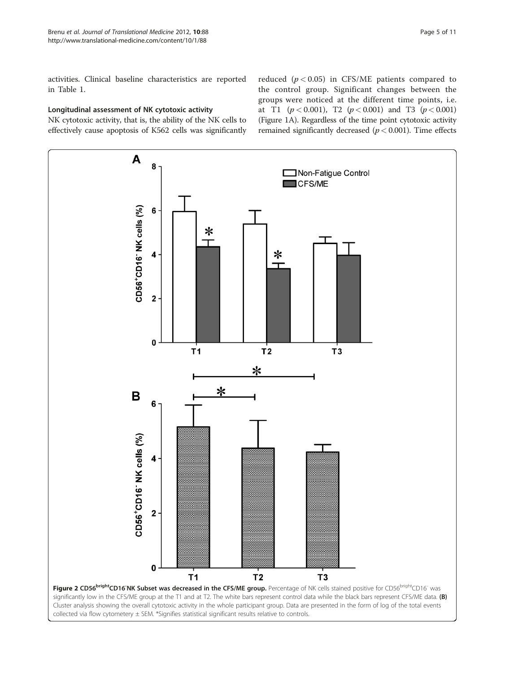<span id="page-4-0"></span>activities. Clinical baseline characteristics are reported in Table [1.](#page-1-0)

## Longitudinal assessment of NK cytotoxic activity

NK cytotoxic activity, that is, the ability of the NK cells to effectively cause apoptosis of K562 cells was significantly reduced ( $p < 0.05$ ) in CFS/ME patients compared to the control group. Significant changes between the groups were noticed at the different time points, i.e. at T1 ( $p < 0.001$ ), T2 ( $p < 0.001$ ) and T3 ( $p < 0.001$ ) (Figure [1A](#page-3-0)). Regardless of the time point cytotoxic activity remained significantly decreased ( $p < 0.001$ ). Time effects

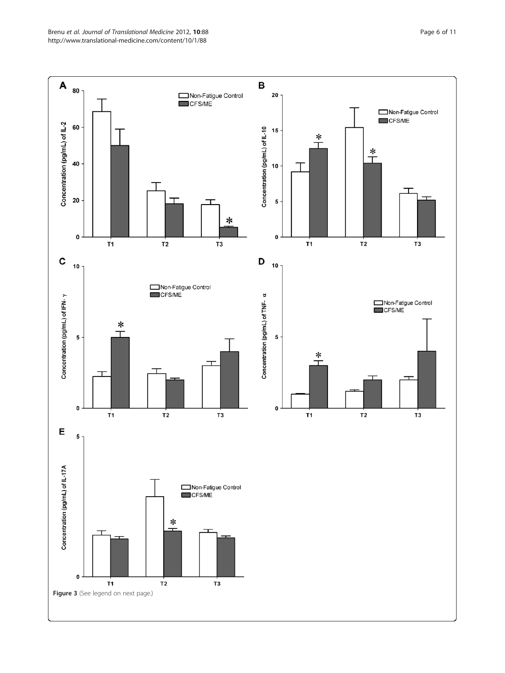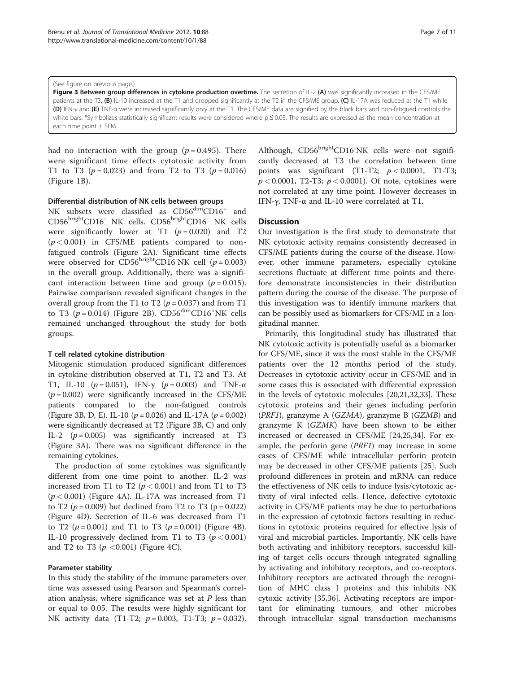#### (See figure on previous page.)

Figure 3 Between group differences in cytokine production overtime. The secretion of IL-2 (A) was significantly increased in the CFS/ME patients at the T3, (B) IL-10 increased at the T1 and dropped significantly at the T2 in the CFS/ME group. (C) IL-17A was reduced at the T1 while (D) IFN-γ and (E) TNF-α were increased significantly only at the T1. The CFS/ME data are signified by the black bars and non-fatigued controls the white bars. \*Symbolizes statistically significant results were considered where p≤ 0.05. The results are expressed as the mean concentration at each time point ± SEM.

had no interaction with the group ( $p = 0.495$ ). There were significant time effects cytotoxic activity from T1 to T3 ( $p = 0.023$ ) and from T2 to T3 ( $p = 0.016$ ) (Figure [1B](#page-3-0)).

### Differential distribution of NK cells between groups

NK subsets were classified as  $CD56<sup>dim</sup>CD16<sup>+</sup>$  and CD56<sup>bright</sup>CD16<sup>-</sup> NK cells. CD56<sup>bright</sup>CD16<sup>-</sup> NK cells were significantly lower at T1  $(p = 0.020)$  and T2  $(p < 0.001)$  in CFS/ME patients compared to nonfatigued controls (Figure [2A\)](#page-4-0). Significant time effects were observed for  $CD56^{\text{bright}}CD16\text{ NK}$  cell ( $p = 0.003$ ) in the overall group. Additionally, there was a significant interaction between time and group  $(p = 0.015)$ . Pairwise comparison revealed significant changes in the overall group from the T1 to T2 ( $p = 0.037$ ) and from T1 to T3  $(p = 0.014)$  (Figure [2B\)](#page-4-0).  $CD56^{\text{dim}}CD16^{\text{+}}\text{NK}$  cells remained unchanged throughout the study for both groups.

#### T cell related cytokine distribution

Mitogenic stimulation produced significant differences in cytokine distribution observed at T1, T2 and T3. At T1, IL-10 ( $p = 0.051$ ), IFN- $\gamma$  ( $p = 0.003$ ) and TNF- $\alpha$  $(p = 0.002)$  were significantly increased in the CFS/ME patients compared to the non-fatigued controls (Figure 3B, D, E). IL-10 ( $p = 0.026$ ) and IL-17A ( $p = 0.002$ ) were significantly decreased at T2 (Figure 3B, C) and only IL-2  $(p=0.005)$  was significantly increased at T3 (Figure 3A). There was no significant difference in the remaining cytokines.

The production of some cytokines was significantly different from one time point to another. IL-2 was increased from T1 to T2 ( $p < 0.001$ ) and from T1 to T3  $(p < 0.001)$  (Figure [4A](#page-7-0)). IL-17A was increased from T1 to T2 ( $p = 0.009$ ) but declined from T2 to T3 ( $p = 0.022$ ) (Figure [4D](#page-7-0)). Secretion of IL-6 was decreased from T1 to T2 ( $p = 0.001$ ) and T1 to T3 ( $p = 0.001$ ) (Figure [4B](#page-7-0)). IL-10 progressively declined from T1 to T3 ( $p < 0.001$ ) and T2 to T3 ( $p < 0.001$ ) (Figure [4C](#page-7-0)).

### Parameter stability

In this study the stability of the immune parameters over time was assessed using Pearson and Spearman's correlation analysis, where significance was set at  $P$  less than or equal to 0.05. The results were highly significant for NK activity data (T1-T2;  $p = 0.003$ , T1-T3;  $p = 0.032$ ).

Although, CD56brightCD16<sup>-</sup>NK cells were not significantly decreased at T3 the correlation between time points was significant (T1-T2;  $p < 0.0001$ , T1-T3;  $p < 0.0001$ , T2-T3;  $p < 0.0001$ ). Of note, cytokines were not correlated at any time point. However decreases in IFN-γ, TNF-α and IL-10 were correlated at T1.

#### **Discussion**

Our investigation is the first study to demonstrate that NK cytotoxic activity remains consistently decreased in CFS/ME patients during the course of the disease. However, other immune parameters, especially cytokine secretions fluctuate at different time points and therefore demonstrate inconsistencies in their distribution pattern during the course of the disease. The purpose of this investigation was to identify immune markers that can be possibly used as biomarkers for CFS/ME in a longitudinal manner.

Primarily, this longitudinal study has illustrated that NK cytotoxic activity is potentially useful as a biomarker for CFS/ME, since it was the most stable in the CFS/ME patients over the 12 months period of the study. Decreases in cytotoxic activity occur in CFS/ME and in some cases this is associated with differential expression in the levels of cytotoxic molecules [\[20,21,32,33](#page-9-0)]. These cytotoxic proteins and their genes including perforin (PRF1), granzyme A (GZMA), granzyme B (GZMB) and granzyme K (GZMK) have been shown to be either increased or decreased in CFS/ME [[24,25,34\]](#page-9-0). For example, the perforin gene (PRF1) may increase in some cases of CFS/ME while intracellular perforin protein may be decreased in other CFS/ME patients [\[25](#page-9-0)]. Such profound differences in protein and mRNA can reduce the effectiveness of NK cells to induce lysis/cytotoxic activity of viral infected cells. Hence, defective cytotoxic activity in CFS/ME patients may be due to perturbations in the expression of cytotoxic factors resulting in reductions in cytotoxic proteins required for effective lysis of viral and microbial particles. Importantly, NK cells have both activating and inhibitory receptors, successful killing of target cells occurs through integrated signalling by activating and inhibitory receptors, and co-receptors. Inhibitory receptors are activated through the recognition of MHC class I proteins and this inhibits NK cytoxic activity [\[35,36](#page-9-0)]. Activating receptors are important for eliminating tumours, and other microbes through intracellular signal transduction mechanisms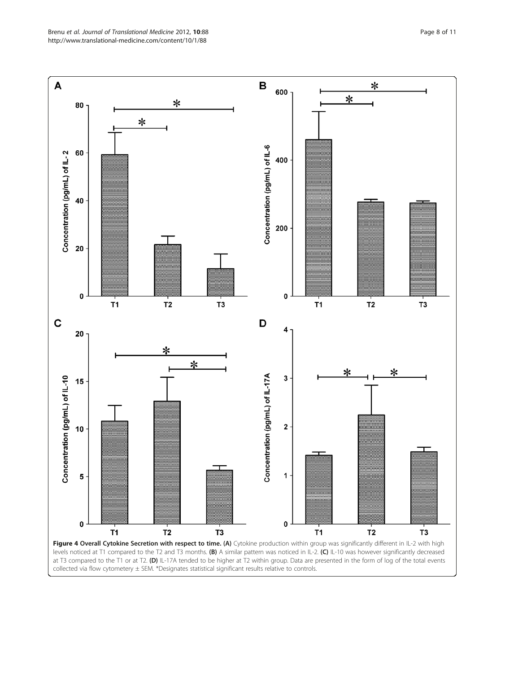<span id="page-7-0"></span>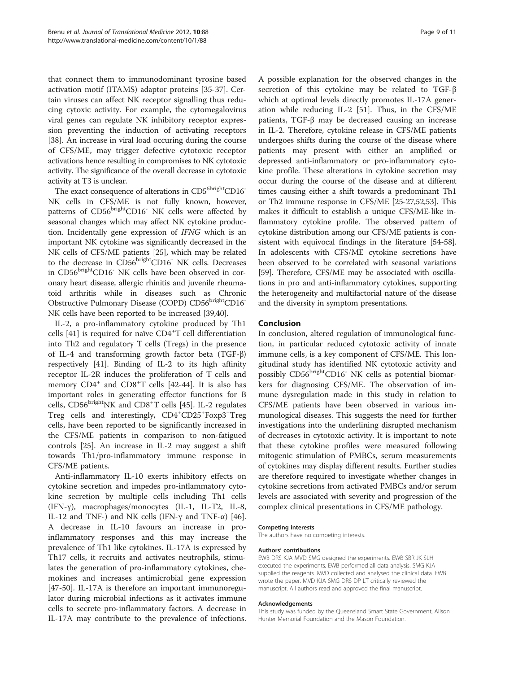that connect them to immunodominant tyrosine based activation motif (ITAMS) adaptor proteins [\[35](#page-9-0)-[37\]](#page-9-0). Certain viruses can affect NK receptor signalling thus reducing cytoxic activity. For example, the cytomegalovirus viral genes can regulate NK inhibitory receptor expression preventing the induction of activating receptors [[38\]](#page-9-0). An increase in viral load occuring during the course of CFS/ME, may trigger defective cytotoxic receptor activations hence resulting in compromises to NK cytotoxic activity. The significance of the overall decrease in cytotoxic activity at T3 is unclear.

The exact consequence of alterations in CD5<sup>6bright</sup>CD16<sup>-</sup> NK cells in CFS/ME is not fully known, however, patterns of CD56<sup>bright</sup>CD16<sup>-</sup> NK cells were affected by seasonal changes which may affect NK cytokine production. Incidentally gene expression of IFNG which is an important NK cytokine was significantly decreased in the NK cells of CFS/ME patients [\[25](#page-9-0)], which may be related to the decrease in CD56<sup>bright</sup>CD16<sup>-</sup> NK cells. Decreases in CD56<sup>bright</sup>CD16<sup>-</sup> NK cells have been observed in coronary heart disease, allergic rhinitis and juvenile rheumatoid arthritis while in diseases such as Chronic Obstructive Pulmonary Disease (COPD) CD56brightCD16-NK cells have been reported to be increased [\[39,40](#page-9-0)].

IL-2, a pro-inflammatory cytokine produced by Th1 cells [[41\]](#page-9-0) is required for naïve CD4<sup>+</sup>T cell differentiation into Th2 and regulatory T cells (Tregs) in the presence of IL-4 and transforming growth factor beta (TGF-β) respectively [\[41](#page-9-0)]. Binding of IL-2 to its high affinity receptor IL-2R induces the proliferation of T cells and memory  $CD4^+$  and  $CD8^+T$  cells [\[42](#page-10-0)-[44\]](#page-10-0). It is also has important roles in generating effector functions for B cells, CD56<sup>bright</sup>NK and CD8<sup>+</sup>T cells [[45\]](#page-10-0). IL-2 regulates Treg cells and interestingly,  $CD4^+CD25^+$ Foxp3<sup>+</sup>Treg cells, have been reported to be significantly increased in the CFS/ME patients in comparison to non-fatigued controls [[25\]](#page-9-0). An increase in IL-2 may suggest a shift towards Th1/pro-inflammatory immune response in CFS/ME patients.

Anti-inflammatory IL-10 exerts inhibitory effects on cytokine secretion and impedes pro-inflammatory cytokine secretion by multiple cells including Th1 cells (IFN-γ), macrophages/monocytes (IL-1, IL-T2, IL-8, IL-12 and TNF-) and NK cells (IFN-γ and TNF- $\alpha$ ) [\[46](#page-10-0)]. A decrease in IL-10 favours an increase in proinflammatory responses and this may increase the prevalence of Th1 like cytokines. IL-17A is expressed by Th17 cells, it recruits and activates neutrophils, stimulates the generation of pro-inflammatory cytokines, chemokines and increases antimicrobial gene expression [[47-50](#page-10-0)]. IL-17A is therefore an important immunoregulator during microbial infections as it activates immune cells to secrete pro-inflammatory factors. A decrease in IL-17A may contribute to the prevalence of infections. A possible explanation for the observed changes in the secretion of this cytokine may be related to TGF-β which at optimal levels directly promotes IL-17A generation while reducing IL-2 [[51\]](#page-10-0). Thus, in the CFS/ME patients, TGF-β may be decreased causing an increase in IL-2. Therefore, cytokine release in CFS/ME patients undergoes shifts during the course of the disease where patients may present with either an amplified or depressed anti-inflammatory or pro-inflammatory cytokine profile. These alterations in cytokine secretion may occur during the course of the disease and at different times causing either a shift towards a predominant Th1 or Th2 immune response in CFS/ME [[25](#page-9-0)-[27,](#page-9-0)[52,53\]](#page-10-0). This makes it difficult to establish a unique CFS/ME-like inflammatory cytokine profile. The observed pattern of cytokine distribution among our CFS/ME patients is consistent with equivocal findings in the literature [[54](#page-10-0)-[58](#page-10-0)]. In adolescents with CFS/ME cytokine secretions have been observed to be correlated with seasonal variations [[59](#page-10-0)]. Therefore, CFS/ME may be associated with oscillations in pro and anti-inflammatory cytokines, supporting the heterogeneity and multifactorial nature of the disease and the diversity in symptom presentations.

## Conclusion

In conclusion, altered regulation of immunological function, in particular reduced cytotoxic activity of innate immune cells, is a key component of CFS/ME. This longitudinal study has identified NK cytotoxic activity and possibly CD56<sup>bright</sup>CD16<sup>-</sup> NK cells as potential biomarkers for diagnosing CFS/ME. The observation of immune dysregulation made in this study in relation to CFS/ME patients have been observed in various immunological diseases. This suggests the need for further investigations into the underlining disrupted mechanism of decreases in cytotoxic activity. It is important to note that these cytokine profiles were measured following mitogenic stimulation of PMBCs, serum measurements of cytokines may display different results. Further studies are therefore required to investigate whether changes in cytokine secretions from activated PMBCs and/or serum levels are associated with severity and progression of the complex clinical presentations in CFS/ME pathology.

#### Competing interests

The authors have no competing interests.

#### Authors' contributions

EWB DRS KJA MVD SMG designed the experiments. EWB SBR JK SLH executed the experiments. EWB performed all data analysis. SMG KJA supplied the reagents. MVD collected and analysed the clinical data. EWB wrote the paper. MVD KJA SMG DRS DP LT critically reviewed the manuscript. All authors read and approved the final manuscript.

#### Acknowledgements

This study was funded by the Queensland Smart State Government, Alison Hunter Memorial Foundation and the Mason Foundation.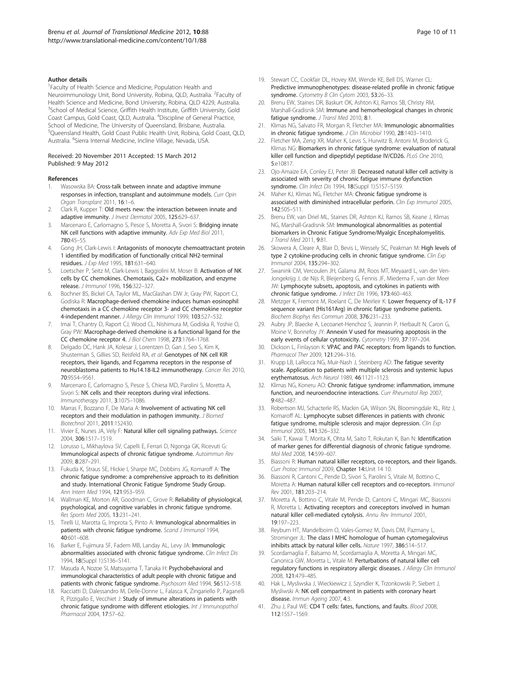#### <span id="page-9-0"></span>Author details

<sup>1</sup> Faculty of Health Science and Medicine, Population Health and Neuroimmunology Unit, Bond University, Robina, QLD, Australia. <sup>2</sup>Faculty of Health Science and Medicine, Bond University, Robina, QLD 4229, Australia. <sup>3</sup>School of Medical Science, Griffith Health Institute, Griffith University, Gold Coast Campus, Gold Coast, QLD, Australia. <sup>4</sup>Discipline of General Practice, School of Medicine, The University of Queensland, Brisbane, Australia. 5 Queensland Health, Gold Coast Public Health Unit, Robina, Gold Coast, QLD, Australia. <sup>6</sup>Sierra Internal Medicine, Incline Village, Nevada, USA.

#### Received: 20 November 2011 Accepted: 15 March 2012 Published: 9 May 2012

#### References

- 1. Wasowska BA: Cross-talk between innate and adaptive immune responses in infection, transplant and autoimmune models. Curr Opin Organ Transplant 2011, 16:1–6.
- 2. Clark R, Kupper T: Old meets new: the interaction between innate and adaptive immunity. J Invest Dermatol 2005, 125:629-637.
- 3. Marcenaro E, Carlomagno S, Pesce S, Moretta A, Sivori S; **Bridging innate** NK cell functions with adaptive immunity. Adv Exp Med Biol 2011, 780:45–55.
- 4. Gong JH, Clark-Lewis I: Antagonists of monocyte chemoattractant protein 1 identified by modification of functionally critical NH2-terminal residues. J Exp Med 1995, 181:631–640.
- 5. Loetscher P, Seitz M, Clark-Lewis I, Baggiolini M, Moser B: Activation of NK cells by CC chemokines. Chemotaxis, Ca2+ mobilization, and enzyme release. J Immunol 1996, 156:322–327.
- 6. Bochner BS, Bickel CA, Taylor ML, MacGlashan DW Jr, Gray PW, Raport CJ, Godiska R: Macrophage-derived chemokine induces human eosinophil chemotaxis in a CC chemokine receptor 3- and CC chemokine receptor 4-independent manner. J Allergy Clin Immunol 1999, 103:527–532.
- 7. Imai T, Chantry D, Raport CJ, Wood CL, Nishimura M, Godiska R, Yoshie O, Gray PW: Macrophage-derived chemokine is a functional ligand for the CC chemokine receptor 4. J Biol Chem 1998, 273:1764–1768.
- Delgado DC, Hank JA, Kolesar J, Lorentzen D, Gan J, Seo S, Kim K, Shusterman S, Gillies SD, Reisfeld RA, et al: Genotypes of NK cell KIR receptors, their ligands, and Fcgamma receptors in the response of neuroblastoma patients to Hu14.18-IL2 immunotherapy. Cancer Res 2010, 70:9554–9561.
- 9. Marcenaro E, Carlomagno S, Pesce S, Chiesa MD, Parolini S, Moretta A, Sivori S: NK cells and their receptors during viral infections. Immunotherapy 2011, 3:1075–1086.
- 10. Marras F, Bozzano F, De Maria A: Involvement of activating NK cell receptors and their modulation in pathogen immunity. J Biomed Biotechnol 2011, 2011:152430.
- 11. Vivier E, Nunes JA, Vely F: Natural killer cell signaling pathways. Science 2004, 306:1517–1519.
- 12. Lorusso L, Mikhaylova SV, Capelli E, Ferrari D, Ngonga GK, Ricevuti G: Immunological aspects of chronic fatigue syndrome. Autoimmun Rev 2009, 8:287–291.
- 13. Fukuda K, Straus SE, Hickie I, Sharpe MC, Dobbins JG, Komaroff A: The chronic fatigue syndrome: a comprehensive approach to its definition and study. International Chronic Fatigue Syndrome Study Group. Ann Intern Med 1994, 121:953–959.
- 14. Wallman KE, Morton AR, Goodman C, Grove R: Reliability of physiological, psychological, and cognitive variables in chronic fatigue syndrome. Res Sports Med 2005, 13:231–241.
- 15. Tirelli U, Marotta G, Improta S, Pinto A: Immunological abnormalities in patients with chronic fatigue syndrome. Scand J Immunol 1994, 40:601–608.
- 16. Barker E, Fujimura SF, Fadem MB, Landay AL, Levy JA: Immunologic abnormalities associated with chronic fatigue syndrome. Clin Infect Dis 1994, 18(Suppl 1):S136–S141.
- 17. Masuda A, Nozoe SI, Matsuyama T, Tanaka H: Psychobehavioral and immunological characteristics of adult people with chronic fatigue and patients with chronic fatigue syndrome. Psychosom Med 1994, 56:512-518.
- 18. Racciatti D, Dalessandro M, Delle-Donne L, Falasca K, Zingariello P, Paganelli R, Pizzigallo E, Vecchiet J: Study of immune alterations in patients with chronic fatigue syndrome with different etiologies. Int J Immunopathol Pharmacol 2004, 17:57–62.
- 19. Stewart CC, Cookfair DL, Hovey KM, Wende KE, Bell DS, Warner CL: Predictive immunophenotypes: disease-related profile in chronic fatigue syndrome. Cytometry B Clin Cytom 2003, 53:26-33.
- 20. Brenu EW, Staines DR, Baskurt OK, Ashton KJ, Ramos SB, Christy RM, Marshall-Gradisnik SM: Immune and hemorheological changes in chronic fatigue syndrome. J Transl Med 2010, 8:1.
- 21. Klimas NG, Salvato FR, Morgan R, Fletcher MA: Immunologic abnormalities in chronic fatigue syndrome. J Clin Microbiol 1990, 28:1403-1410.
- 22. Fletcher MA, Zeng XR, Maher K, Levis S, Hurwitz B, Antoni M, Broderick G, Klimas NG: Biomarkers in chronic fatigue syndrome: evaluation of natural killer cell function and dipeptidyl peptidase IV/CD26. PLoS One 2010, 5:e10817.
- 23. Ojo-Amaize EA, Conley EJ, Peter JB: Decreased natural killer cell activity is associated with severity of chronic fatigue immune dysfunction syndrome. Clin Infect Dis 1994, 18(Suppl 1):S157-S159.
- 24. Maher KJ, Klimas NG, Fletcher MA: Chronic fatigue syndrome is associated with diminished intracellular perforin. Clin Exp Immunol 2005, 142:505–511.
- 25. Brenu EW, van Driel ML, Staines DR, Ashton KJ, Ramos SB, Keane J, Klimas NG, Marshall-Gradisnik SM: Immunological abnormalities as potential biomarkers in Chronic Fatigue Syndrome/Myalgic Encephalomyelitis. J Transl Med 2011, 9:81.
- 26. Skowera A, Cleare A, Blair D, Bevis L, Wessely SC, Peakman M: High levels of type 2 cytokine-producing cells in chronic fatigue syndrome. Clin Exp Immunol 2004, 135:294–302.
- 27. Swanink CM, Vercoulen JH, Galama JM, Roos MT, Meyaard L, van der Ven-Jongekrijg J, de Nijs R, Bleijenberg G, Fennis JF, Miedema F, van der Meer JW: Lymphocyte subsets, apoptosis, and cytokines in patients with chronic fatigue syndrome. J Infect Dis 1996, 173:460–463.
- 28. Metzger K, Fremont M, Roelant C, De Meirleir K: Lower frequency of IL-17 F sequence variant (His161Arg) in chronic fatigue syndrome patients. Biochem Biophys Res Commun 2008, 376:231–233.
- 29. Aubry JP, Blaecke A, Lecoanet-Henchoz S, Jeannin P, Herbault N, Caron G, Moine V, Bonnefoy JY: Annexin V used for measuring apoptosis in the early events of cellular cytotoxicity. Cytometry 1999, 37:197-204.
- 30. Dickson L, Finlayson K: VPAC and PAC receptors: from ligands to function. Pharmacol Ther 2009, 121:294–316.
- 31. Krupp LB, LaRocca NG, Muir-Nash J, Steinberg AD: The fatigue severity scale. Application to patients with multiple sclerosis and systemic lupus erythematosus. Arch Neurol 1989, 46:1121–1123.
- 32. Klimas NG, Koneru AO: Chronic fatigue syndrome: inflammation, immune function, and neuroendocrine interactions. Curr Rheumatol Rep 2007, 9:482–487.
- 33. Robertson MJ, Schacterle RS, Mackin GA, Wilson SN, Bloomingdale KL, Ritz J, Komaroff AL: Lymphocyte subset differences in patients with chronic fatigue syndrome, multiple sclerosis and major depression. Clin Exp Immunol 2005, 141:326–332.
- 34. Saiki T, Kawai T, Morita K, Ohta M, Saito T, Rokutan K, Ban N: Identification of marker genes for differential diagnosis of chronic fatigue syndrome. Mol Med 2008, 14:599–607.
- 35. Biassoni R: Human natural killer receptors, co-receptors, and their ligands. Curr Protoc Immunol 2009, Chapter 14:Unit 14 10.
- 36. Biassoni R, Cantoni C, Pende D, Sivori S, Parolini S, Vitale M, Bottino C, Moretta A: Human natural killer cell receptors and co-receptors. Immunol Rev 2001, 181:203–214.
- 37. Moretta A, Bottino C, Vitale M, Pende D, Cantoni C, Mingari MC, Biassoni R, Moretta L: Activating receptors and coreceptors involved in human natural killer cell-mediated cytolysis. Annu Rev Immunol 2001, 19:197–223.
- 38. Reyburn HT, Mandelboim O, Vales-Gomez M, Davis DM, Pazmany L, Strominger JL: The class I MHC homologue of human cytomegalovirus inhibits attack by natural killer cells. Nature 1997, 386:514–517.
- 39. Scordamaglia F, Balsamo M, Scordamaglia A, Moretta A, Mingari MC, Canonica GW, Moretta L, Vitale M: Perturbations of natural killer cell regulatory functions in respiratory allergic diseases. J Allergy Clin Immunol 2008, 121:479–485.
- 40. Hak L, Mysliwska J, Wieckiewicz J, Szyndler K, Trzonkowski P, Siebert J, Mysliwski A: NK cell compartment in patients with coronary heart disease. Immun Ageing 2007, 4:3.
- 41. Zhu J, Paul WE: CD4 T cells: fates, functions, and faults. Blood 2008, 112:1557–1569.